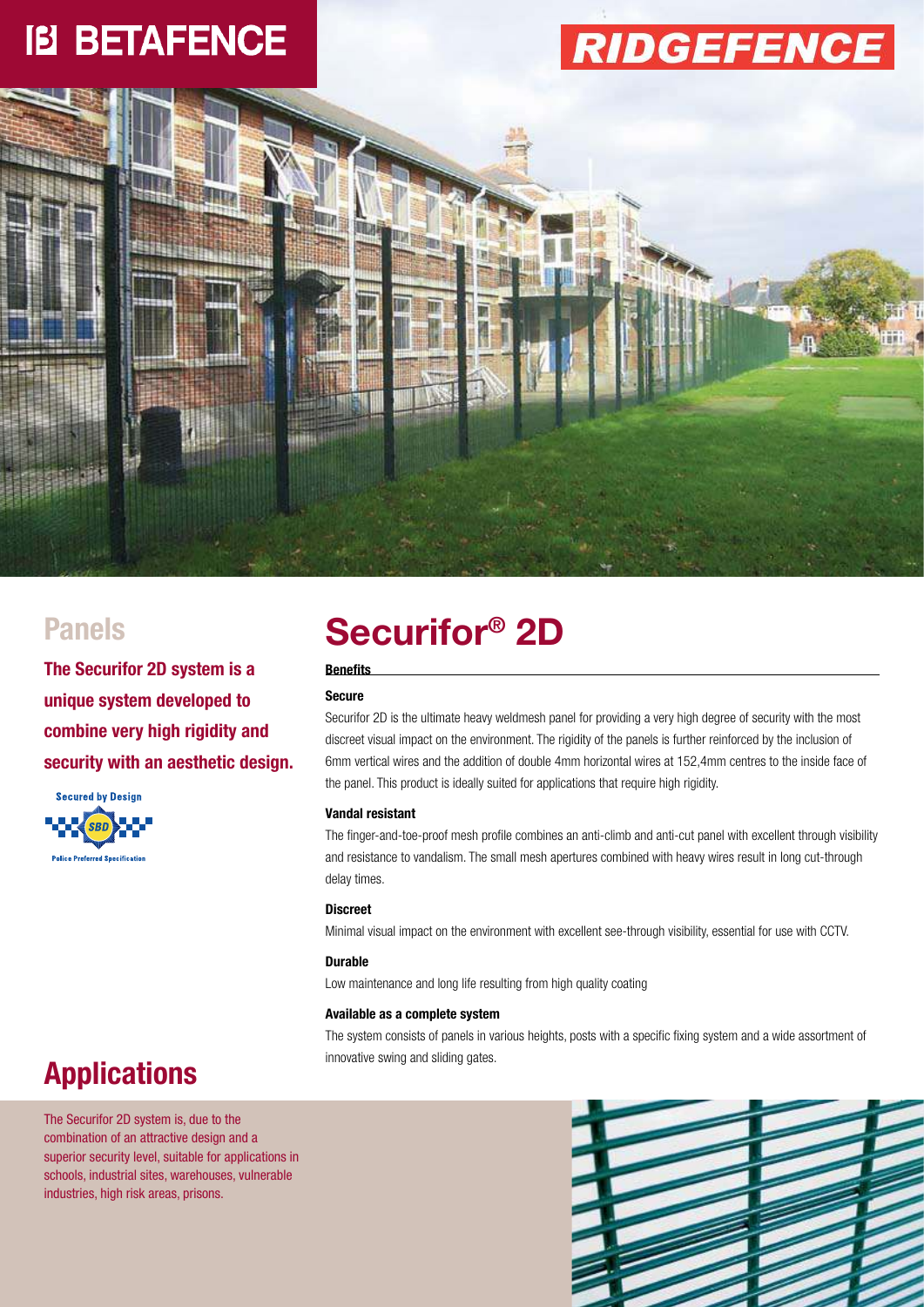# **IB BETAFENCE**

# **RIDGEFENCE**



**The Securifor 2D system is a unique system developed to combine very high rigidity and security with an aesthetic design.**



## **Securifor® Panels 2D**

### **Benefits**

### **Secure**

Securifor 2D is the ultimate heavy weldmesh panel for providing a very high degree of security with the most discreet visual impact on the environment. The rigidity of the panels is further reinforced by the inclusion of 6mm vertical wires and the addition of double 4mm horizontal wires at 152,4mm centres to the inside face of the panel. This product is ideally suited for applications that require high rigidity.

#### **Vandal resistant**

The finger-and-toe-proof mesh profile combines an anti-climb and anti-cut panel with excellent through visibility and resistance to vandalism. The small mesh apertures combined with heavy wires result in long cut-through delay times.

#### **Discreet**

Minimal visual impact on the environment with excellent see-through visibility, essential for use with CCTV.

#### **Durable**

Low maintenance and long life resulting from high quality coating

#### **Available as a complete system**

The system consists of panels in various heights, posts with a specific fixing system and a wide assortment of innovative swing and sliding gates.

### **Applications**

The Securifor 2D system is, due to the combination of an attractive design and a superior security level, suitable for applications in schools, industrial sites, warehouses, vulnerable industries, high risk areas, prisons.